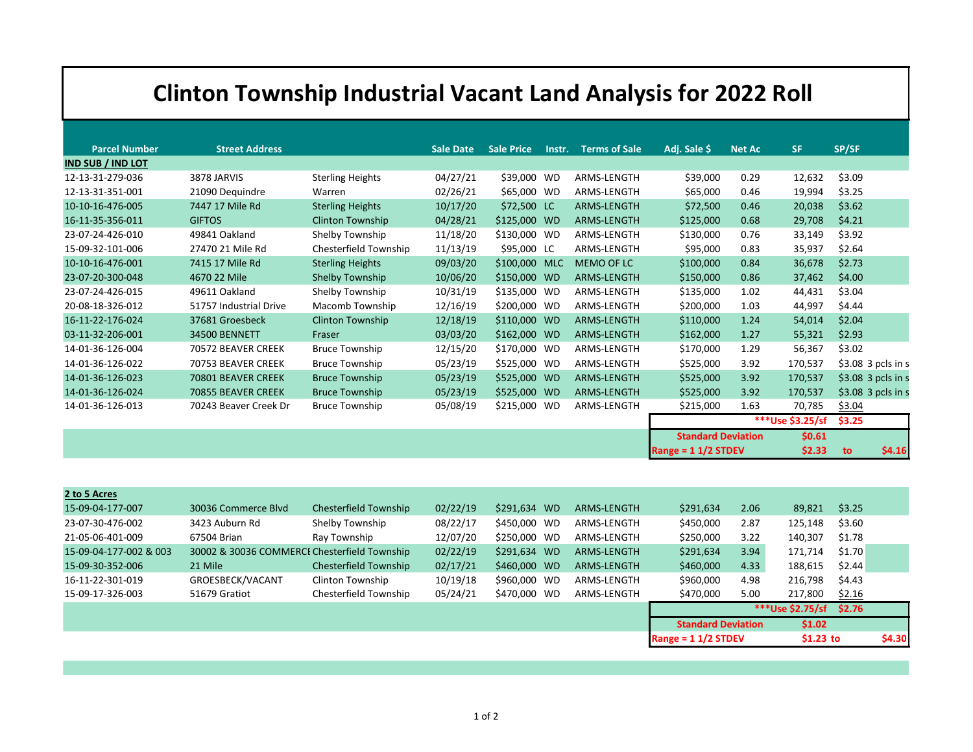## **Clinton Township Industrial Vacant Land Analysis for 2022 Roll**

| <b>Parcel Number</b>     | <b>Street Address</b>  |                         | <b>Sale Date</b> | <b>Sale Price</b> | Instr. | <b>Terms of Sale</b> | Adj. Sale \$                   | <b>Net Ac</b> | <b>SF</b>        | SP/SF               |
|--------------------------|------------------------|-------------------------|------------------|-------------------|--------|----------------------|--------------------------------|---------------|------------------|---------------------|
| <b>IND SUB / IND LOT</b> |                        |                         |                  |                   |        |                      |                                |               |                  |                     |
| 12-13-31-279-036         | 3878 JARVIS            | <b>Sterling Heights</b> | 04/27/21         | \$39,000 WD       |        | ARMS-LENGTH          | \$39,000                       | 0.29          | 12,632           | \$3.09              |
| 12-13-31-351-001         | 21090 Dequindre        | Warren                  | 02/26/21         | \$65,000 WD       |        | ARMS-LENGTH          | \$65,000                       | 0.46          | 19,994           | \$3.25              |
| 10-10-16-476-005         | 7447 17 Mile Rd        | <b>Sterling Heights</b> | 10/17/20         | \$72,500 LC       |        | ARMS-LENGTH          | \$72,500                       | 0.46          | 20,038           | \$3.62              |
| 16-11-35-356-011         | <b>GIFTOS</b>          | <b>Clinton Township</b> | 04/28/21         | \$125,000 WD      |        | ARMS-LENGTH          | \$125,000                      | 0.68          | 29,708           | \$4.21              |
| 23-07-24-426-010         | 49841 Oakland          | Shelby Township         | 11/18/20         | \$130,000 WD      |        | ARMS-LENGTH          | \$130,000                      | 0.76          | 33,149           | \$3.92              |
| 15-09-32-101-006         | 27470 21 Mile Rd       | Chesterfield Township   | 11/13/19         | \$95,000 LC       |        | ARMS-LENGTH          | \$95,000                       | 0.83          | 35,937           | \$2.64              |
| 10-10-16-476-001         | 7415 17 Mile Rd        | <b>Sterling Heights</b> | 09/03/20         | \$100,000 MLC     |        | <b>MEMO OF LC</b>    | \$100,000                      | 0.84          | 36,678           | \$2.73              |
| 23-07-20-300-048         | 4670 22 Mile           | Shelby Township         | 10/06/20         | \$150,000 WD      |        | ARMS-LENGTH          | \$150,000                      | 0.86          | 37,462           | \$4.00              |
| 23-07-24-426-015         | 49611 Oakland          | Shelby Township         | 10/31/19         | \$135,000 WD      |        | ARMS-LENGTH          | \$135,000                      | 1.02          | 44,431           | \$3.04              |
| 20-08-18-326-012         | 51757 Industrial Drive | Macomb Township         | 12/16/19         | \$200,000 WD      |        | ARMS-LENGTH          | \$200,000                      | 1.03          | 44,997           | \$4.44              |
| 16-11-22-176-024         | 37681 Groesbeck        | <b>Clinton Township</b> | 12/18/19         | \$110,000 WD      |        | ARMS-LENGTH          | \$110,000                      | 1.24          | 54,014           | \$2.04              |
| 03-11-32-206-001         | 34500 BENNETT          | Fraser                  | 03/03/20         | \$162,000 WD      |        | ARMS-LENGTH          | \$162,000                      | 1.27          | 55,321           | \$2.93              |
| 14-01-36-126-004         | 70572 BEAVER CREEK     | <b>Bruce Township</b>   | 12/15/20         | \$170,000 WD      |        | ARMS-LENGTH          | \$170,000                      | 1.29          | 56,367           | \$3.02              |
| 14-01-36-126-022         | 70753 BEAVER CREEK     | <b>Bruce Township</b>   | 05/23/19         | \$525,000 WD      |        | ARMS-LENGTH          | \$525,000                      | 3.92          | 170,537          | $$3.08$ 3 pcls in s |
| 14-01-36-126-023         | 70801 BEAVER CREEK     | <b>Bruce Township</b>   | 05/23/19         | \$525,000 WD      |        | ARMS-LENGTH          | \$525,000                      | 3.92          | 170,537          | \$3.08 3 pcls in s  |
| 14-01-36-126-024         | 70855 BEAVER CREEK     | <b>Bruce Township</b>   | 05/23/19         | \$525,000 WD      |        | ARMS-LENGTH          | \$525,000                      | 3.92          | 170,537          | $$3.08$ 3 pcls in s |
| 14-01-36-126-013         | 70243 Beaver Creek Dr  | <b>Bruce Township</b>   | 05/08/19         | \$215,000 WD      |        | ARMS-LENGTH          | \$215,000                      | 1.63          | 70,785           | \$3.04              |
|                          |                        |                         |                  |                   |        |                      |                                |               | ***Use \$3.25/sf | \$3.25              |
|                          |                        |                         |                  |                   |        |                      | <b>Standard Deviation</b>      |               | \$0.61           |                     |
|                          |                        |                         |                  |                   |        |                      | Range = $11/2$ STDEV<br>\$2.33 |               |                  | \$4.16<br>to        |

| 2 to 5 Acres           |                                              |                       |          |              |             |                           |      |                  |        |        |
|------------------------|----------------------------------------------|-----------------------|----------|--------------|-------------|---------------------------|------|------------------|--------|--------|
| 15-09-04-177-007       | 30036 Commerce Blvd                          | Chesterfield Township | 02/22/19 | \$291,634 WD | ARMS-LENGTH | \$291,634                 | 2.06 | 89,821           | \$3.25 |        |
| 23-07-30-476-002       | 3423 Auburn Rd                               | Shelby Township       | 08/22/17 | \$450,000 WD | ARMS-LENGTH | \$450,000                 | 2.87 | 125,148          | \$3.60 |        |
| 21-05-06-401-009       | 67504 Brian                                  | Ray Township          | 12/07/20 | \$250,000 WD | ARMS-LENGTH | \$250,000                 | 3.22 | 140,307          | \$1.78 |        |
| 15-09-04-177-002 & 003 | 30002 & 30036 COMMERCI Chesterfield Township |                       | 02/22/19 | \$291,634 WD | ARMS-LENGTH | \$291,634                 | 3.94 | 171,714          | \$1.70 |        |
| 15-09-30-352-006       | 21 Mile                                      | Chesterfield Township | 02/17/21 | \$460,000 WD | ARMS-LENGTH | \$460,000                 | 4.33 | 188,615          | \$2.44 |        |
| 16-11-22-301-019       | GROESBECK/VACANT                             | Clinton Township      | 10/19/18 | \$960,000 WD | ARMS-LENGTH | \$960,000                 | 4.98 | 216,798          | \$4.43 |        |
| 15-09-17-326-003       | 51679 Gratiot                                | Chesterfield Township | 05/24/21 | \$470,000 WD | ARMS-LENGTH | \$470,000                 | 5.00 | 217,800          | \$2.16 |        |
|                        |                                              |                       |          |              |             |                           |      | ***Use \$2.75/sf | \$2.76 |        |
|                        |                                              |                       |          |              |             | <b>Standard Deviation</b> |      | \$1.02           |        |        |
|                        |                                              |                       |          |              |             | Range = $11/2$ STDEV      |      | $$1.23$ to       |        | \$4.30 |